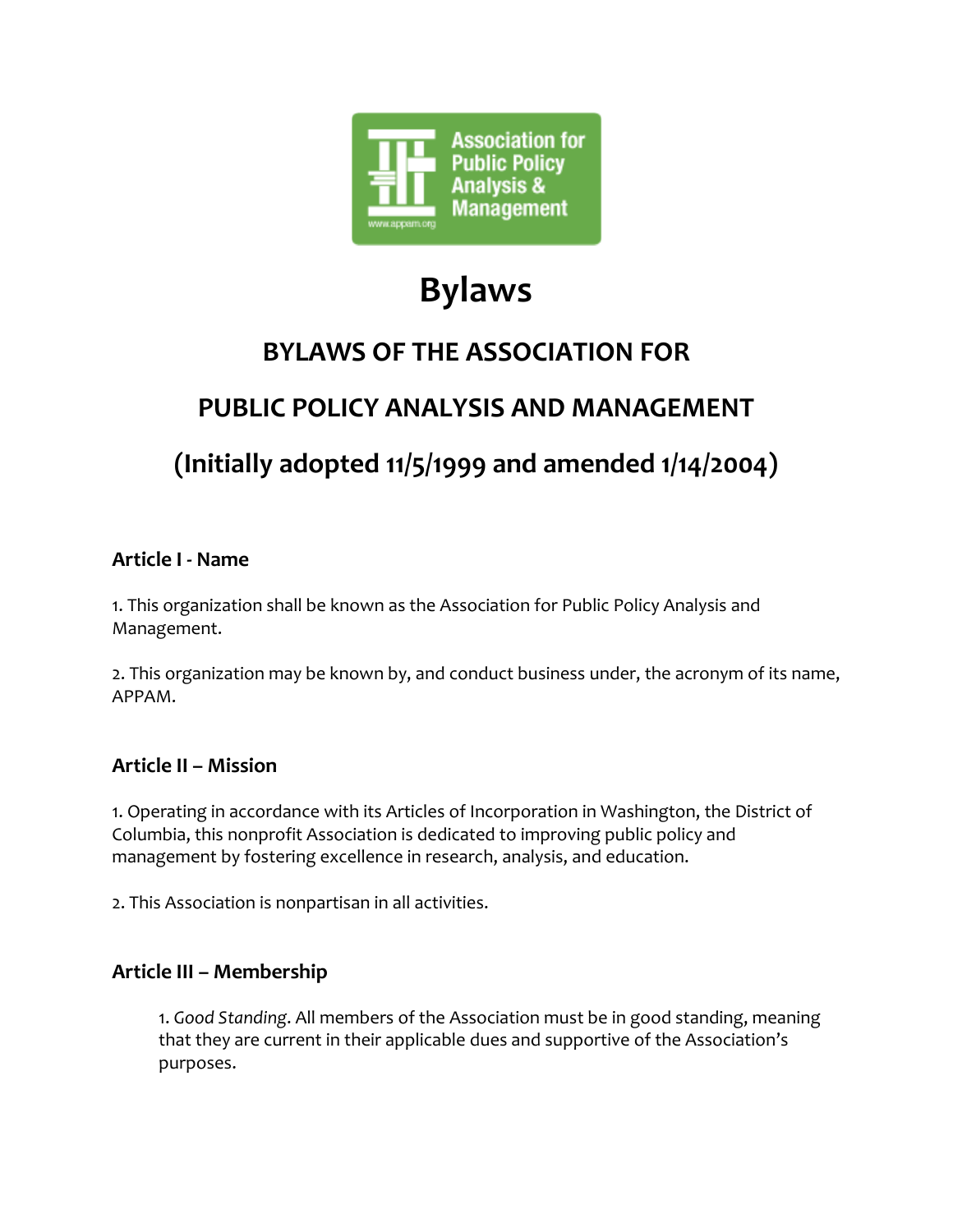

# **Bylaws**

# **BYLAWS OF THE ASSOCIATION FOR**

# **PUBLIC POLICY ANALYSIS AND MANAGEMENT**

# **(Initially adopted 11/5/1999 and amended 1/14/2004)**

#### **Article I - Name**

1. This organization shall be known as the Association for Public Policy Analysis and Management.

2. This organization may be known by, and conduct business under, the acronym of its name, APPAM.

#### **Article II – Mission**

1. Operating in accordance with its Articles of Incorporation in Washington, the District of Columbia, this nonprofit Association is dedicated to improving public policy and management by fostering excellence in research, analysis, and education.

2. This Association is nonpartisan in all activities.

### **Article III – Membership**

1. *Good Standing*. All members of the Association must be in good standing, meaning that they are current in their applicable dues and supportive of the Association's purposes.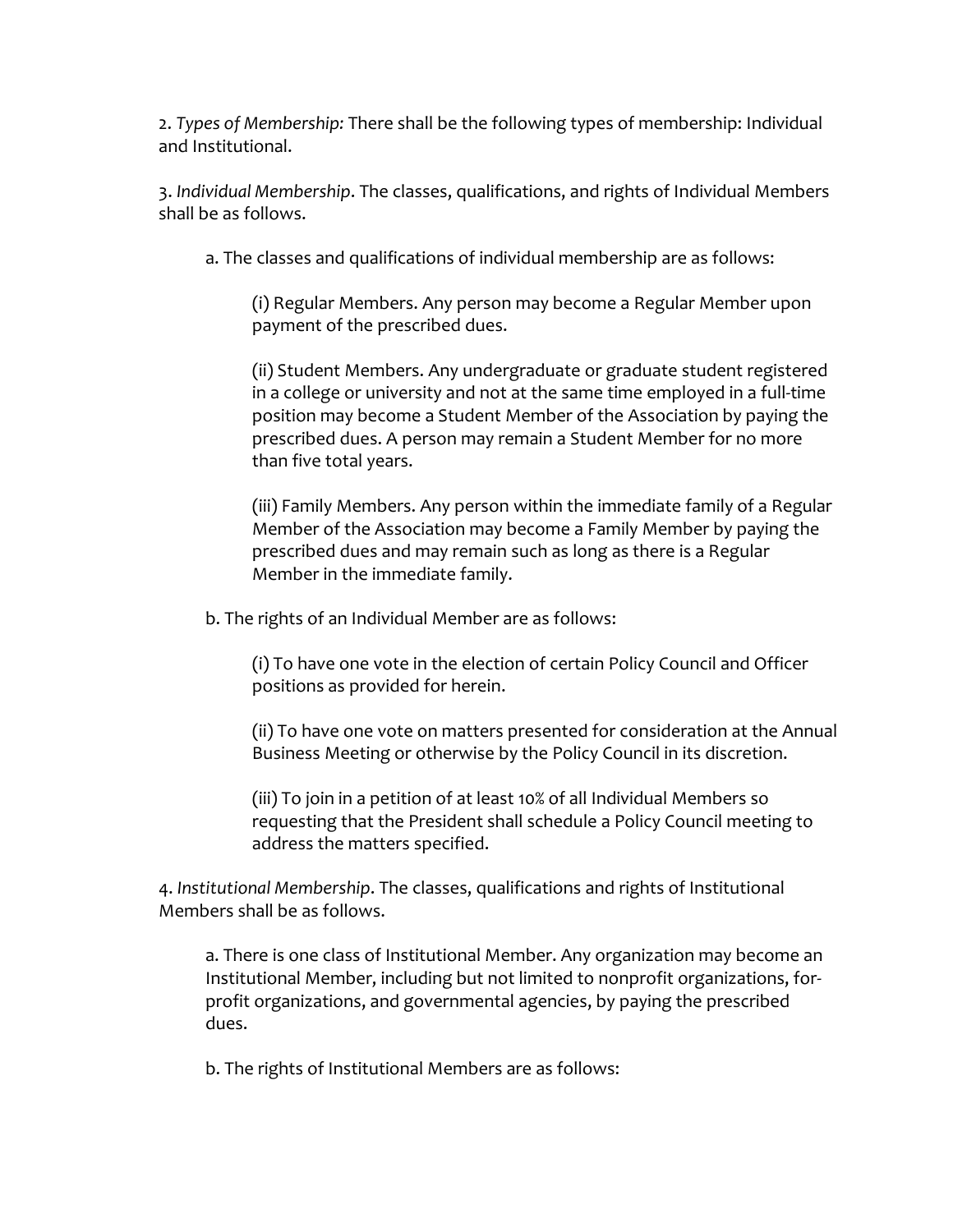2. *Types of Membership:* There shall be the following types of membership: Individual and Institutional.

3. *Individual Membership*. The classes, qualifications, and rights of Individual Members shall be as follows.

a. The classes and qualifications of individual membership are as follows:

(i) Regular Members. Any person may become a Regular Member upon payment of the prescribed dues.

(ii) Student Members. Any undergraduate or graduate student registered in a college or university and not at the same time employed in a full-time position may become a Student Member of the Association by paying the prescribed dues. A person may remain a Student Member for no more than five total years.

(iii) Family Members. Any person within the immediate family of a Regular Member of the Association may become a Family Member by paying the prescribed dues and may remain such as long as there is a Regular Member in the immediate family.

b. The rights of an Individual Member are as follows:

(i) To have one vote in the election of certain Policy Council and Officer positions as provided for herein.

(ii) To have one vote on matters presented for consideration at the Annual Business Meeting or otherwise by the Policy Council in its discretion.

(iii) To join in a petition of at least 10% of all Individual Members so requesting that the President shall schedule a Policy Council meeting to address the matters specified.

4. *Institutional Membership*. The classes, qualifications and rights of Institutional Members shall be as follows.

a. There is one class of Institutional Member. Any organization may become an Institutional Member, including but not limited to nonprofit organizations, forprofit organizations, and governmental agencies, by paying the prescribed dues.

b. The rights of Institutional Members are as follows: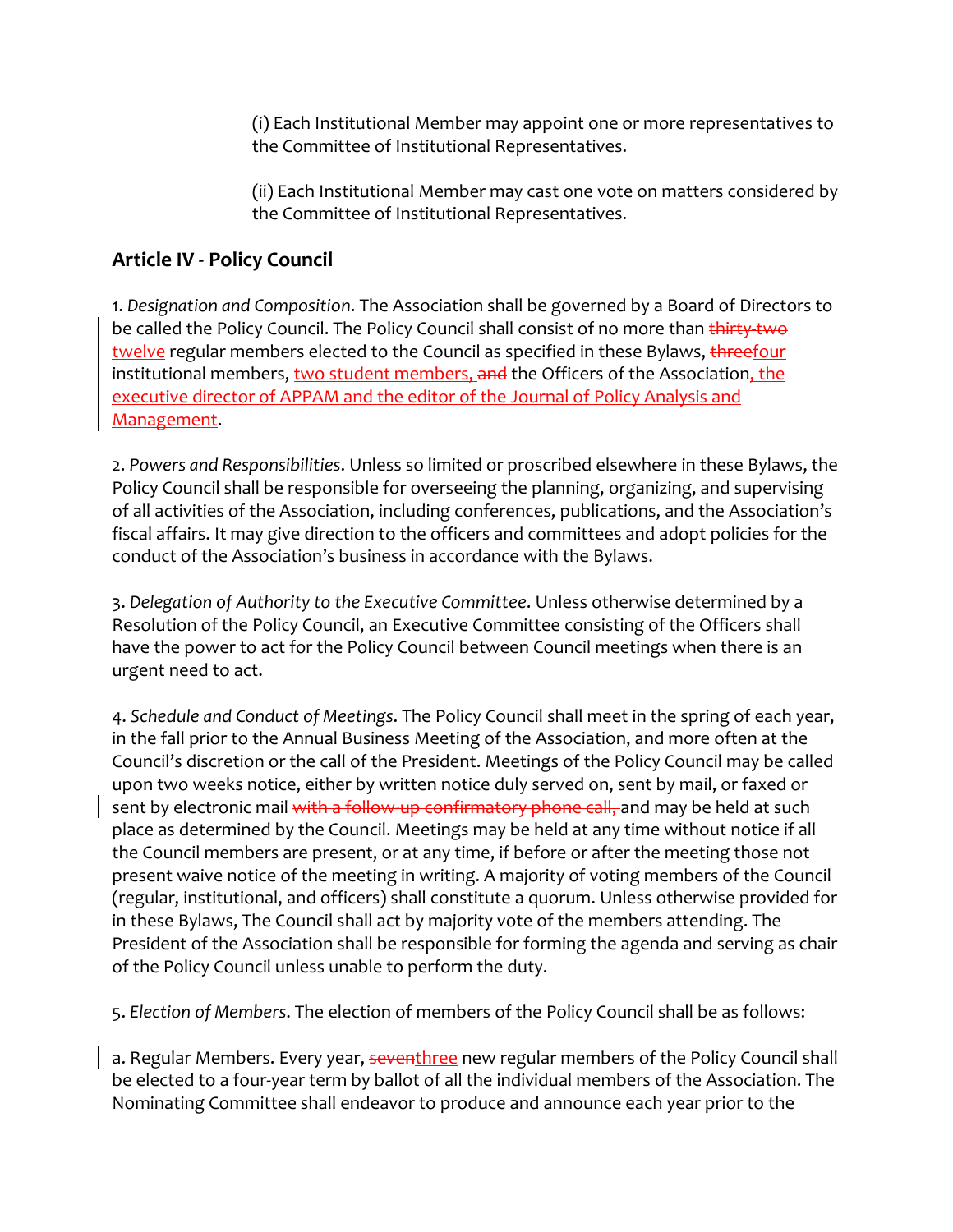(i) Each Institutional Member may appoint one or more representatives to the Committee of Institutional Representatives.

(ii) Each Institutional Member may cast one vote on matters considered by the Committee of Institutional Representatives.

### **Article IV - Policy Council**

1. *Designation and Composition*. The Association shall be governed by a Board of Directors to be called the Policy Council. The Policy Council shall consist of no more than thirty two twelve regular members elected to the Council as specified in these Bylaws, threefour institutional members, two student members, and the Officers of the Association, the executive director of APPAM and the editor of the Journal of Policy Analysis and Management.

2. *Powers and Responsibilities*. Unless so limited or proscribed elsewhere in these Bylaws, the Policy Council shall be responsible for overseeing the planning, organizing, and supervising of all activities of the Association, including conferences, publications, and the Association's fiscal affairs. It may give direction to the officers and committees and adopt policies for the conduct of the Association's business in accordance with the Bylaws.

3. *Delegation of Authority to the Executive Committee*. Unless otherwise determined by a Resolution of the Policy Council, an Executive Committee consisting of the Officers shall have the power to act for the Policy Council between Council meetings when there is an urgent need to act.

4. *Schedule and Conduct of Meetings*. The Policy Council shall meet in the spring of each year, in the fall prior to the Annual Business Meeting of the Association, and more often at the Council's discretion or the call of the President. Meetings of the Policy Council may be called upon two weeks notice, either by written notice duly served on, sent by mail, or faxed or sent by electronic mail with a follow-up confirmatory phone call, and may be held at such place as determined by the Council. Meetings may be held at any time without notice if all the Council members are present, or at any time, if before or after the meeting those not present waive notice of the meeting in writing. A majority of voting members of the Council (regular, institutional, and officers) shall constitute a quorum. Unless otherwise provided for in these Bylaws, The Council shall act by majority vote of the members attending. The President of the Association shall be responsible for forming the agenda and serving as chair of the Policy Council unless unable to perform the duty.

5. *Election of Members*. The election of members of the Policy Council shall be as follows:

a. Regular Members. Every year, seventhree new regular members of the Policy Council shall be elected to a four-year term by ballot of all the individual members of the Association. The Nominating Committee shall endeavor to produce and announce each year prior to the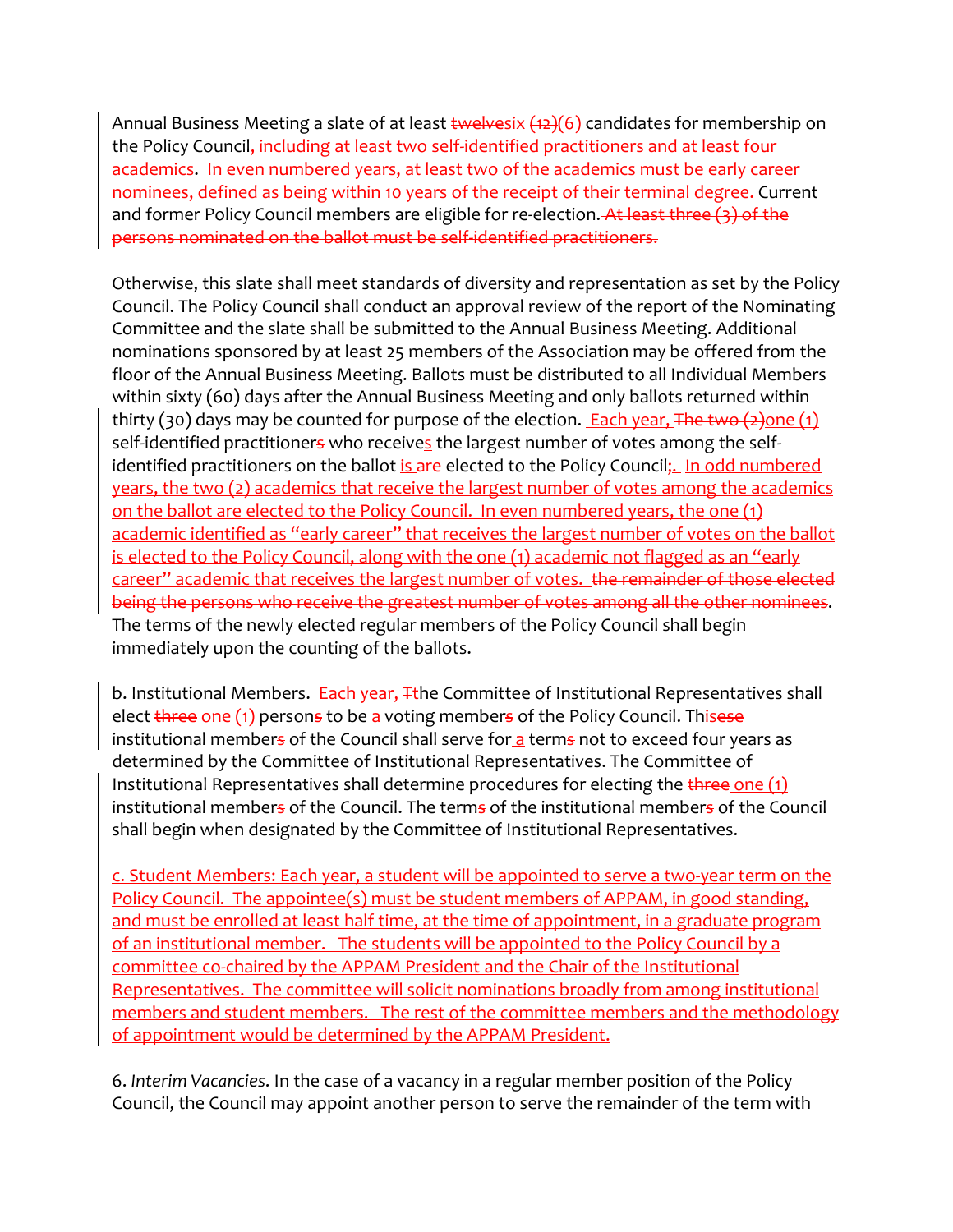Annual Business Meeting a slate of at least twelvesix  $(12)(6)$  candidates for membership on the Policy Council, including at least two self-identified practitioners and at least four academics. In even numbered years, at least two of the academics must be early career nominees, defined as being within 10 years of the receipt of their terminal degree. Current and former Policy Council members are eligible for re-election. At least three (3) of the persons nominated on the ballot must be self-identified practitioners.

Otherwise, this slate shall meet standards of diversity and representation as set by the Policy Council. The Policy Council shall conduct an approval review of the report of the Nominating Committee and the slate shall be submitted to the Annual Business Meeting. Additional nominations sponsored by at least 25 members of the Association may be offered from the floor of the Annual Business Meeting. Ballots must be distributed to all Individual Members within sixty (60) days after the Annual Business Meeting and only ballots returned within thirty (30) days may be counted for purpose of the election. Each year, The two  $(2)$ one (1) self-identified practitioners who receives the largest number of votes among the selfidentified practitioners on the ballot is are elected to the Policy Council;. In odd numbered years, the two (2) academics that receive the largest number of votes among the academics on the ballot are elected to the Policy Council. In even numbered years, the one (1) academic identified as "early career" that receives the largest number of votes on the ballot is elected to the Policy Council, along with the one (1) academic not flagged as an "early career" academic that receives the largest number of votes. the remainder of those elected being the persons who receive the greatest number of votes among all the other nominees. The terms of the newly elected regular members of the Policy Council shall begin immediately upon the counting of the ballots.

b. Institutional Members. Each year, Tthe Committee of Institutional Representatives shall elect  $t$  and  $(1)$  persons to be a voting members of the Policy Council. This ese institutional members of the Council shall serve for a terms not to exceed four years as determined by the Committee of Institutional Representatives. The Committee of Institutional Representatives shall determine procedures for electing the  $t$ hree one  $(1)$ institutional members of the Council. The terms of the institutional members of the Council shall begin when designated by the Committee of Institutional Representatives.

c. Student Members: Each year, a student will be appointed to serve a two-year term on the Policy Council. The appointee(s) must be student members of APPAM, in good standing, and must be enrolled at least half time, at the time of appointment, in a graduate program of an institutional member. The students will be appointed to the Policy Council by a committee co-chaired by the APPAM President and the Chair of the Institutional Representatives. The committee will solicit nominations broadly from among institutional members and student members. The rest of the committee members and the methodology of appointment would be determined by the APPAM President.

6. *Interim Vacancies*. In the case of a vacancy in a regular member position of the Policy Council, the Council may appoint another person to serve the remainder of the term with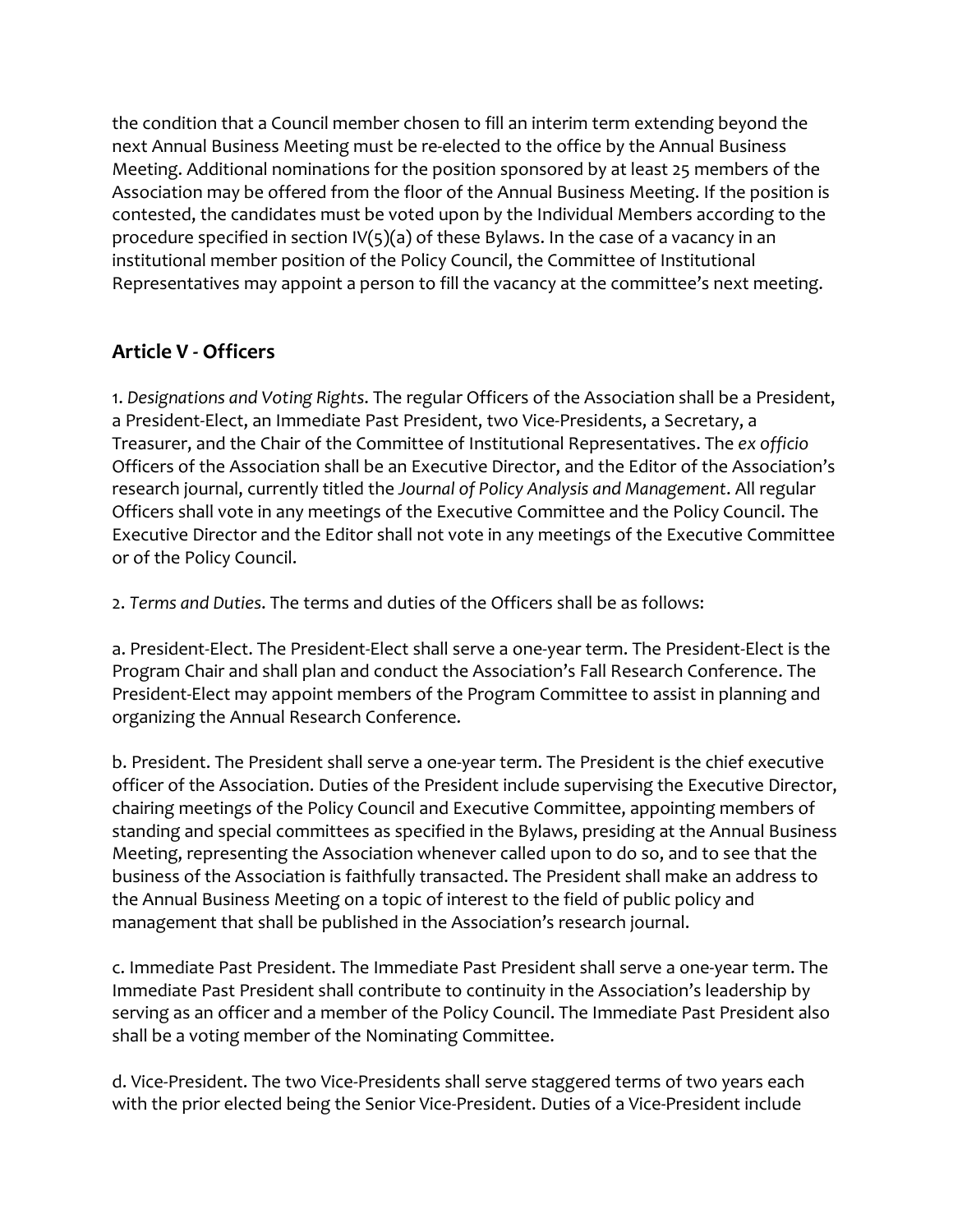the condition that a Council member chosen to fill an interim term extending beyond the next Annual Business Meeting must be re-elected to the office by the Annual Business Meeting. Additional nominations for the position sponsored by at least 25 members of the Association may be offered from the floor of the Annual Business Meeting. If the position is contested, the candidates must be voted upon by the Individual Members according to the procedure specified in section  $IV(5)(a)$  of these Bylaws. In the case of a vacancy in an institutional member position of the Policy Council, the Committee of Institutional Representatives may appoint a person to fill the vacancy at the committee's next meeting.

## **Article V - Officers**

1. *Designations and Voting Rights*. The regular Officers of the Association shall be a President, a President-Elect, an Immediate Past President, two Vice-Presidents, a Secretary, a Treasurer, and the Chair of the Committee of Institutional Representatives. The *ex officio* Officers of the Association shall be an Executive Director, and the Editor of the Association's research journal, currently titled the *Journal of Policy Analysis and Management*. All regular Officers shall vote in any meetings of the Executive Committee and the Policy Council. The Executive Director and the Editor shall not vote in any meetings of the Executive Committee or of the Policy Council.

2. *Terms and Duties*. The terms and duties of the Officers shall be as follows:

a. President-Elect. The President-Elect shall serve a one-year term. The President-Elect is the Program Chair and shall plan and conduct the Association's Fall Research Conference. The President-Elect may appoint members of the Program Committee to assist in planning and organizing the Annual Research Conference.

b. President. The President shall serve a one-year term. The President is the chief executive officer of the Association. Duties of the President include supervising the Executive Director, chairing meetings of the Policy Council and Executive Committee, appointing members of standing and special committees as specified in the Bylaws, presiding at the Annual Business Meeting, representing the Association whenever called upon to do so, and to see that the business of the Association is faithfully transacted. The President shall make an address to the Annual Business Meeting on a topic of interest to the field of public policy and management that shall be published in the Association's research journal.

c. Immediate Past President. The Immediate Past President shall serve a one-year term. The Immediate Past President shall contribute to continuity in the Association's leadership by serving as an officer and a member of the Policy Council. The Immediate Past President also shall be a voting member of the Nominating Committee.

d. Vice-President. The two Vice-Presidents shall serve staggered terms of two years each with the prior elected being the Senior Vice-President. Duties of a Vice-President include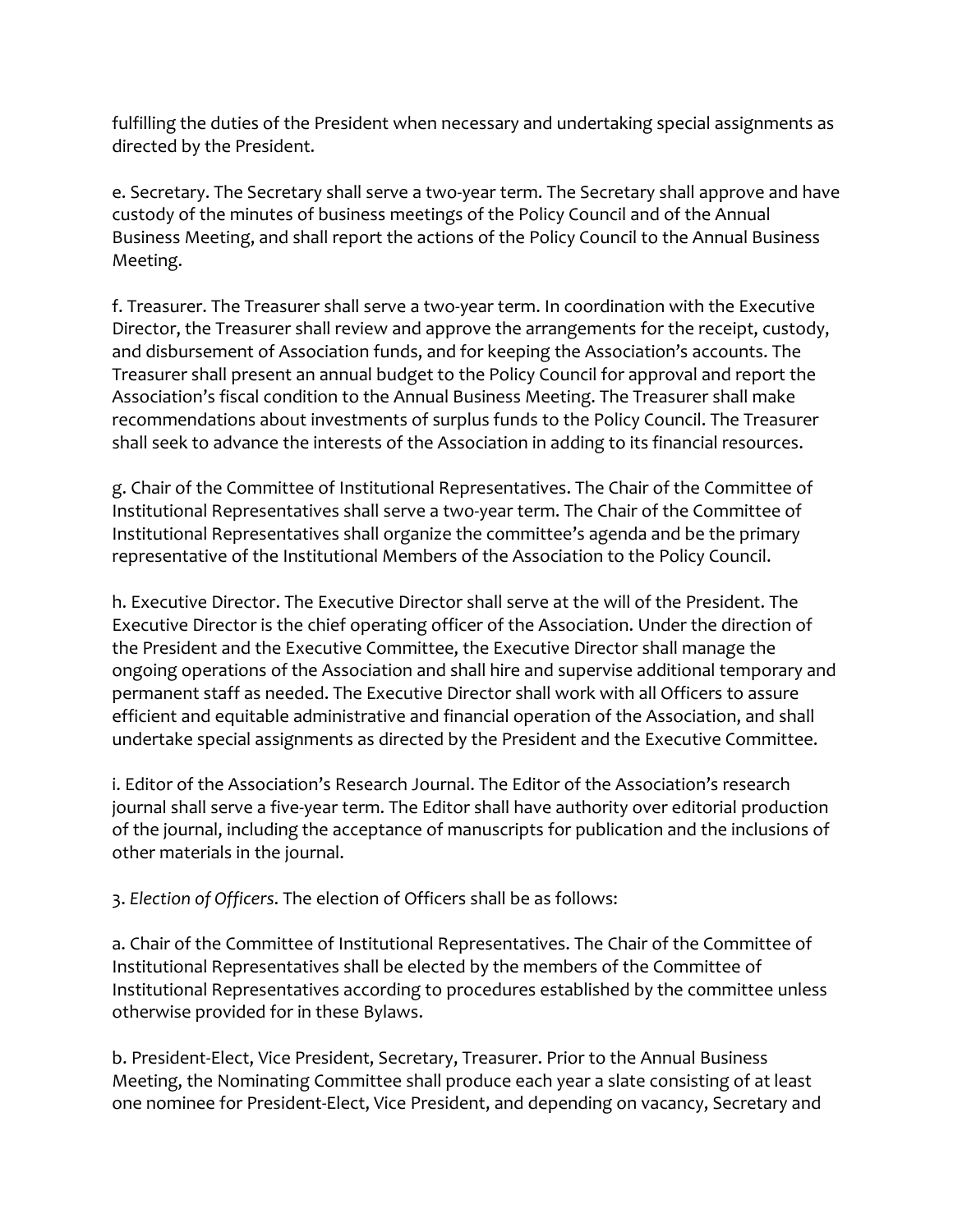fulfilling the duties of the President when necessary and undertaking special assignments as directed by the President.

e. Secretary. The Secretary shall serve a two-year term. The Secretary shall approve and have custody of the minutes of business meetings of the Policy Council and of the Annual Business Meeting, and shall report the actions of the Policy Council to the Annual Business Meeting.

f. Treasurer. The Treasurer shall serve a two-year term. In coordination with the Executive Director, the Treasurer shall review and approve the arrangements for the receipt, custody, and disbursement of Association funds, and for keeping the Association's accounts. The Treasurer shall present an annual budget to the Policy Council for approval and report the Association's fiscal condition to the Annual Business Meeting. The Treasurer shall make recommendations about investments of surplus funds to the Policy Council. The Treasurer shall seek to advance the interests of the Association in adding to its financial resources.

g. Chair of the Committee of Institutional Representatives. The Chair of the Committee of Institutional Representatives shall serve a two-year term. The Chair of the Committee of Institutional Representatives shall organize the committee's agenda and be the primary representative of the Institutional Members of the Association to the Policy Council.

h. Executive Director. The Executive Director shall serve at the will of the President. The Executive Director is the chief operating officer of the Association. Under the direction of the President and the Executive Committee, the Executive Director shall manage the ongoing operations of the Association and shall hire and supervise additional temporary and permanent staff as needed. The Executive Director shall work with all Officers to assure efficient and equitable administrative and financial operation of the Association, and shall undertake special assignments as directed by the President and the Executive Committee.

i. Editor of the Association's Research Journal. The Editor of the Association's research journal shall serve a five-year term. The Editor shall have authority over editorial production of the journal, including the acceptance of manuscripts for publication and the inclusions of other materials in the journal.

3. *Election of Officers*. The election of Officers shall be as follows:

a. Chair of the Committee of Institutional Representatives. The Chair of the Committee of Institutional Representatives shall be elected by the members of the Committee of Institutional Representatives according to procedures established by the committee unless otherwise provided for in these Bylaws.

b. President-Elect, Vice President, Secretary, Treasurer. Prior to the Annual Business Meeting, the Nominating Committee shall produce each year a slate consisting of at least one nominee for President-Elect, Vice President, and depending on vacancy, Secretary and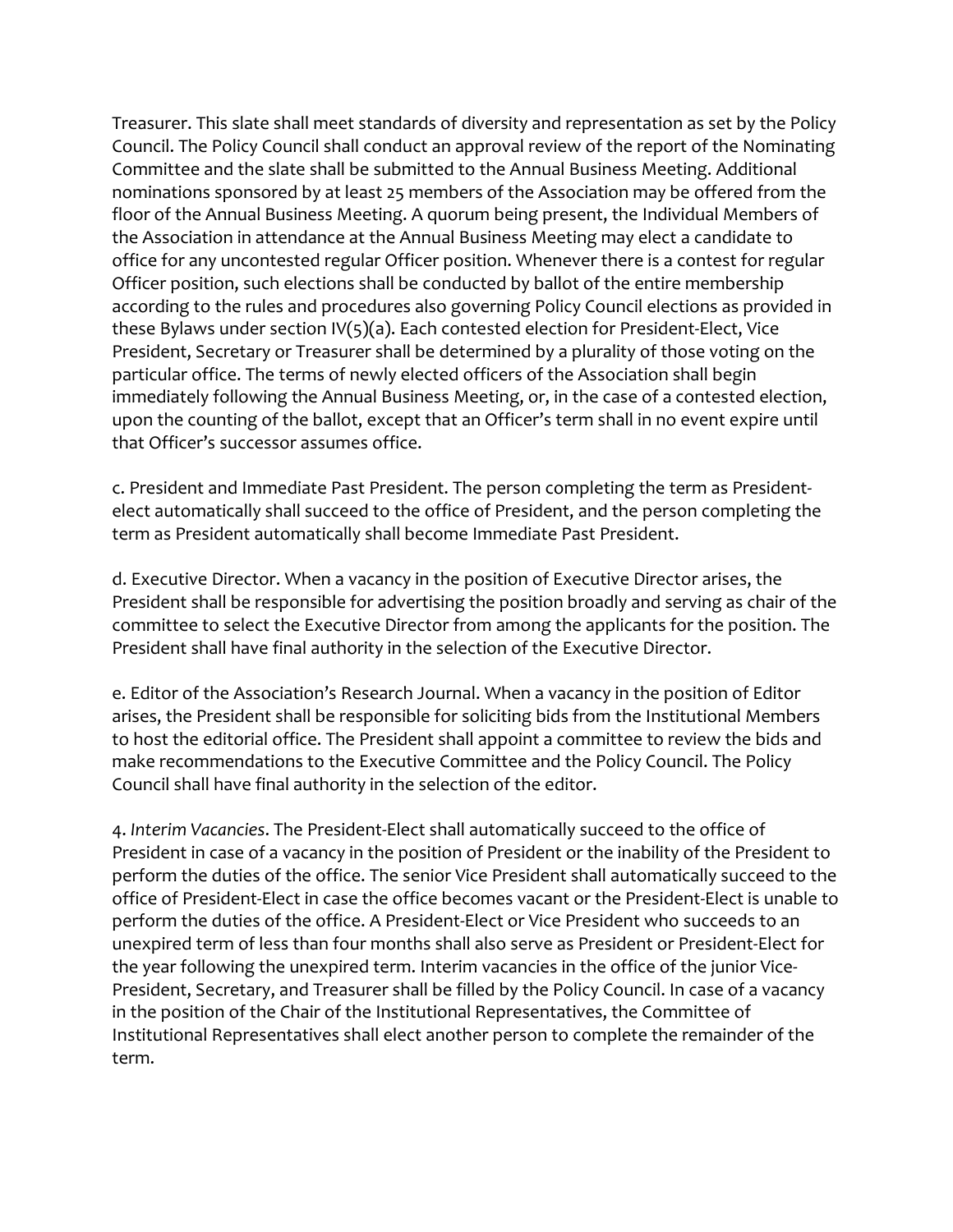Treasurer. This slate shall meet standards of diversity and representation as set by the Policy Council. The Policy Council shall conduct an approval review of the report of the Nominating Committee and the slate shall be submitted to the Annual Business Meeting. Additional nominations sponsored by at least 25 members of the Association may be offered from the floor of the Annual Business Meeting. A quorum being present, the Individual Members of the Association in attendance at the Annual Business Meeting may elect a candidate to office for any uncontested regular Officer position. Whenever there is a contest for regular Officer position, such elections shall be conducted by ballot of the entire membership according to the rules and procedures also governing Policy Council elections as provided in these Bylaws under section IV(5)(a). Each contested election for President-Elect, Vice President, Secretary or Treasurer shall be determined by a plurality of those voting on the particular office. The terms of newly elected officers of the Association shall begin immediately following the Annual Business Meeting, or, in the case of a contested election, upon the counting of the ballot, except that an Officer's term shall in no event expire until that Officer's successor assumes office.

c. President and Immediate Past President. The person completing the term as Presidentelect automatically shall succeed to the office of President, and the person completing the term as President automatically shall become Immediate Past President.

d. Executive Director. When a vacancy in the position of Executive Director arises, the President shall be responsible for advertising the position broadly and serving as chair of the committee to select the Executive Director from among the applicants for the position. The President shall have final authority in the selection of the Executive Director.

e. Editor of the Association's Research Journal. When a vacancy in the position of Editor arises, the President shall be responsible for soliciting bids from the Institutional Members to host the editorial office. The President shall appoint a committee to review the bids and make recommendations to the Executive Committee and the Policy Council. The Policy Council shall have final authority in the selection of the editor.

4. *Interim Vacancies*. The President-Elect shall automatically succeed to the office of President in case of a vacancy in the position of President or the inability of the President to perform the duties of the office. The senior Vice President shall automatically succeed to the office of President-Elect in case the office becomes vacant or the President-Elect is unable to perform the duties of the office. A President-Elect or Vice President who succeeds to an unexpired term of less than four months shall also serve as President or President-Elect for the year following the unexpired term. Interim vacancies in the office of the junior Vice-President, Secretary, and Treasurer shall be filled by the Policy Council. In case of a vacancy in the position of the Chair of the Institutional Representatives, the Committee of Institutional Representatives shall elect another person to complete the remainder of the term.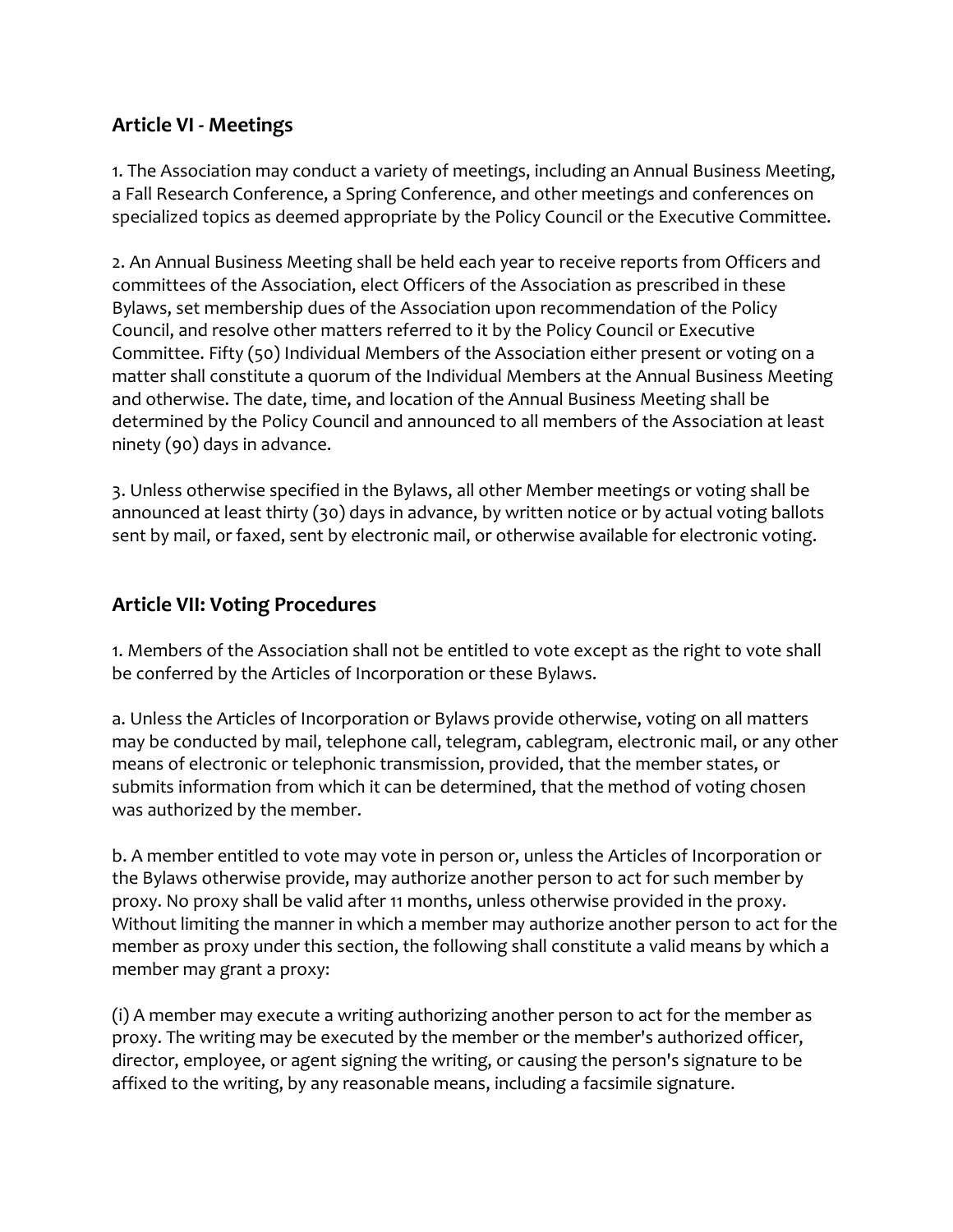### **Article VI - Meetings**

1. The Association may conduct a variety of meetings, including an Annual Business Meeting, a Fall Research Conference, a Spring Conference, and other meetings and conferences on specialized topics as deemed appropriate by the Policy Council or the Executive Committee.

2. An Annual Business Meeting shall be held each year to receive reports from Officers and committees of the Association, elect Officers of the Association as prescribed in these Bylaws, set membership dues of the Association upon recommendation of the Policy Council, and resolve other matters referred to it by the Policy Council or Executive Committee. Fifty (50) Individual Members of the Association either present or voting on a matter shall constitute a quorum of the Individual Members at the Annual Business Meeting and otherwise. The date, time, and location of the Annual Business Meeting shall be determined by the Policy Council and announced to all members of the Association at least ninety (90) days in advance.

3. Unless otherwise specified in the Bylaws, all other Member meetings or voting shall be announced at least thirty (30) days in advance, by written notice or by actual voting ballots sent by mail, or faxed, sent by electronic mail, or otherwise available for electronic voting.

#### **Article VII: Voting Procedures**

1. Members of the Association shall not be entitled to vote except as the right to vote shall be conferred by the Articles of Incorporation or these Bylaws.

a. Unless the Articles of Incorporation or Bylaws provide otherwise, voting on all matters may be conducted by mail, telephone call, telegram, cablegram, electronic mail, or any other means of electronic or telephonic transmission, provided, that the member states, or submits information from which it can be determined, that the method of voting chosen was authorized by the member.

b. A member entitled to vote may vote in person or, unless the Articles of Incorporation or the Bylaws otherwise provide, may authorize another person to act for such member by proxy. No proxy shall be valid after 11 months, unless otherwise provided in the proxy. Without limiting the manner in which a member may authorize another person to act for the member as proxy under this section, the following shall constitute a valid means by which a member may grant a proxy:

(i) A member may execute a writing authorizing another person to act for the member as proxy. The writing may be executed by the member or the member's authorized officer, director, employee, or agent signing the writing, or causing the person's signature to be affixed to the writing, by any reasonable means, including a facsimile signature.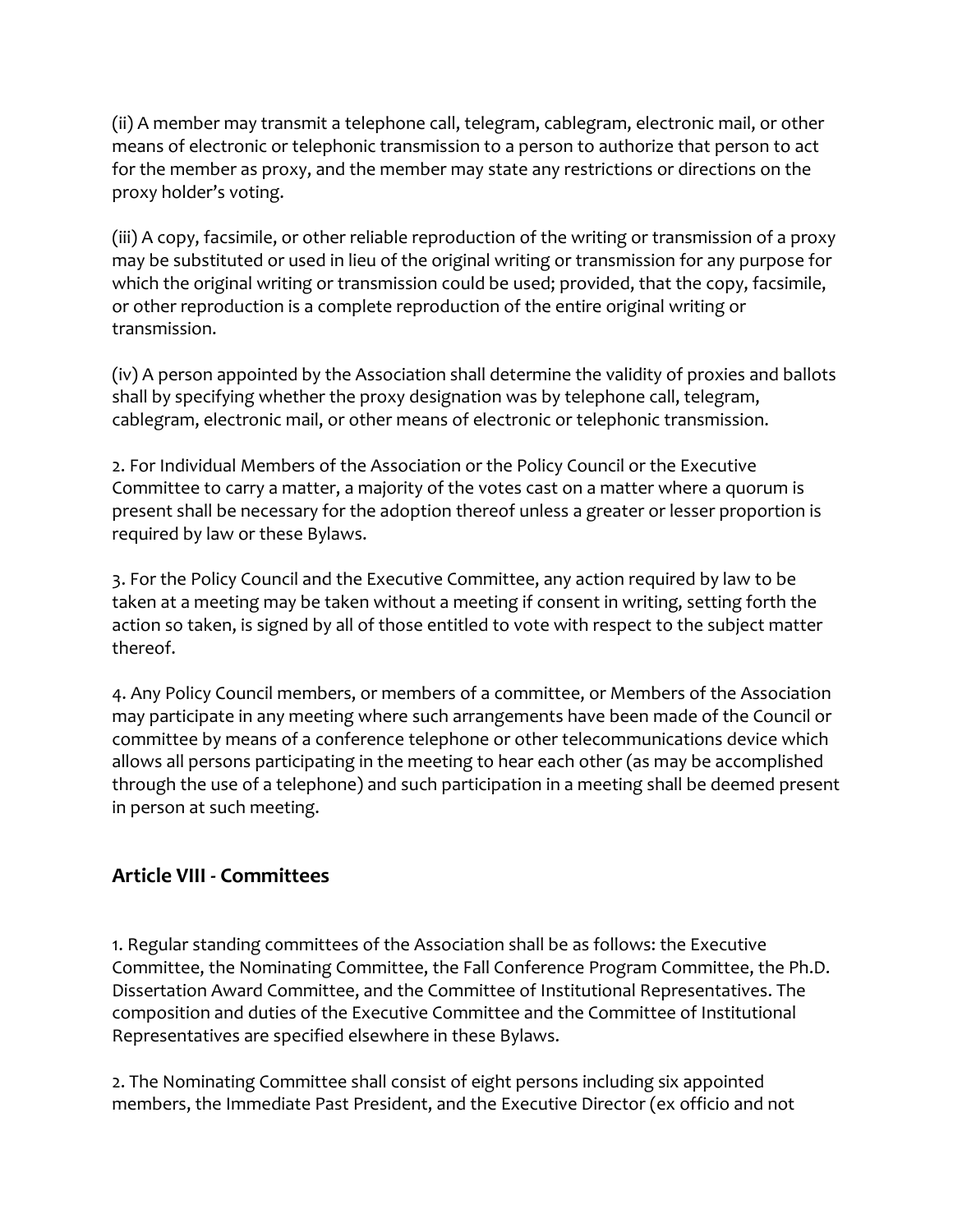(ii) A member may transmit a telephone call, telegram, cablegram, electronic mail, or other means of electronic or telephonic transmission to a person to authorize that person to act for the member as proxy, and the member may state any restrictions or directions on the proxy holder's voting.

(iii) A copy, facsimile, or other reliable reproduction of the writing or transmission of a proxy may be substituted or used in lieu of the original writing or transmission for any purpose for which the original writing or transmission could be used; provided, that the copy, facsimile, or other reproduction is a complete reproduction of the entire original writing or transmission.

(iv) A person appointed by the Association shall determine the validity of proxies and ballots shall by specifying whether the proxy designation was by telephone call, telegram, cablegram, electronic mail, or other means of electronic or telephonic transmission.

2. For Individual Members of the Association or the Policy Council or the Executive Committee to carry a matter, a majority of the votes cast on a matter where a quorum is present shall be necessary for the adoption thereof unless a greater or lesser proportion is required by law or these Bylaws.

3. For the Policy Council and the Executive Committee, any action required by law to be taken at a meeting may be taken without a meeting if consent in writing, setting forth the action so taken, is signed by all of those entitled to vote with respect to the subject matter thereof.

4. Any Policy Council members, or members of a committee, or Members of the Association may participate in any meeting where such arrangements have been made of the Council or committee by means of a conference telephone or other telecommunications device which allows all persons participating in the meeting to hear each other (as may be accomplished through the use of a telephone) and such participation in a meeting shall be deemed present in person at such meeting.

### **Article VIII - Committees**

1. Regular standing committees of the Association shall be as follows: the Executive Committee, the Nominating Committee, the Fall Conference Program Committee, the Ph.D. Dissertation Award Committee, and the Committee of Institutional Representatives. The composition and duties of the Executive Committee and the Committee of Institutional Representatives are specified elsewhere in these Bylaws.

2. The Nominating Committee shall consist of eight persons including six appointed members, the Immediate Past President, and the Executive Director (ex officio and not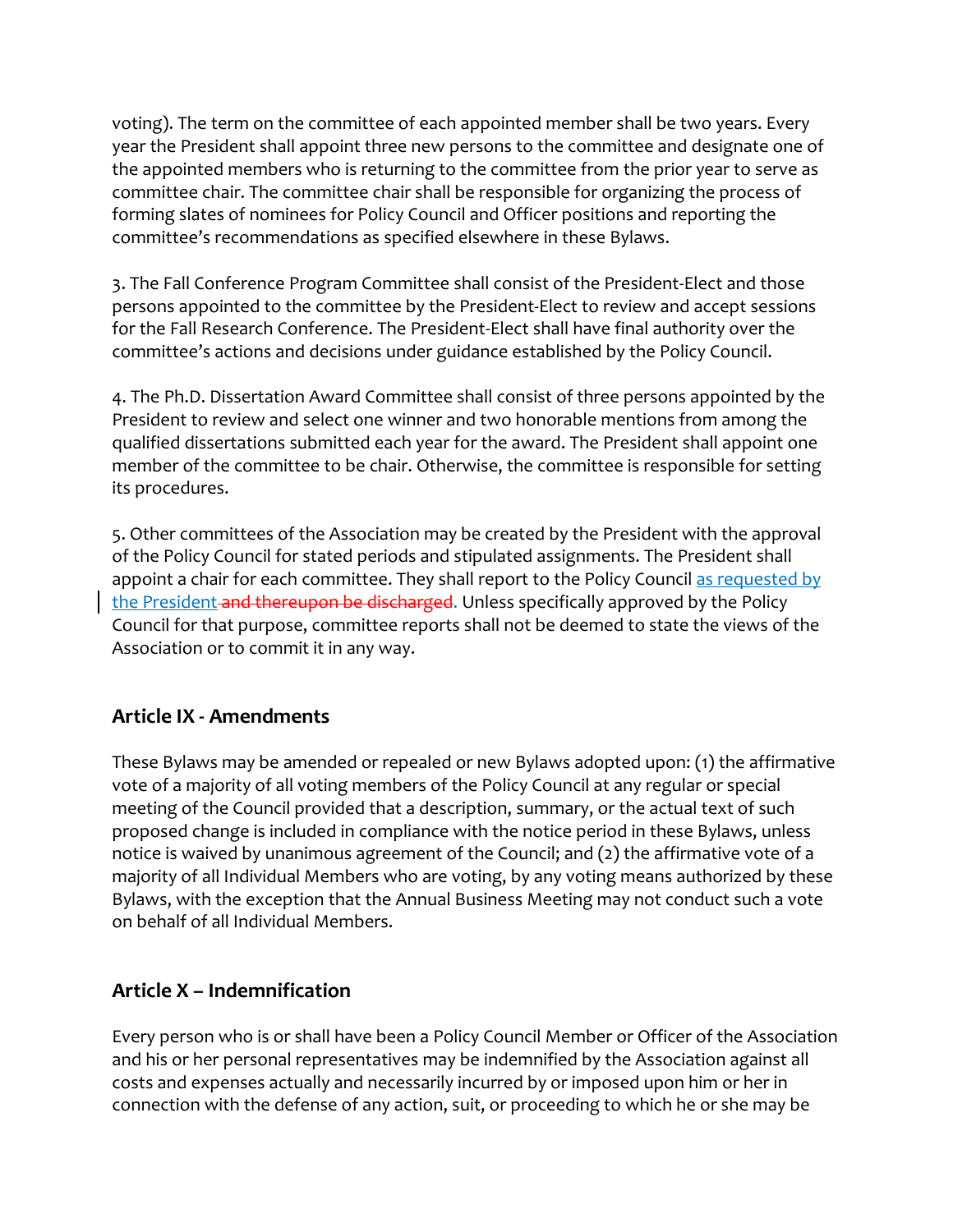voting). The term on the committee of each appointed member shall be two years. Every year the President shall appoint three new persons to the committee and designate one of the appointed members who is returning to the committee from the prior year to serve as committee chair. The committee chair shall be responsible for organizing the process of forming slates of nominees for Policy Council and Officer positions and reporting the committee's recommendations as specified elsewhere in these Bylaws.

3. The Fall Conference Program Committee shall consist of the President-Elect and those persons appointed to the committee by the President-Elect to review and accept sessions for the Fall Research Conference. The President-Elect shall have final authority over the committee's actions and decisions under guidance established by the Policy Council.

4. The Ph.D. Dissertation Award Committee shall consist of three persons appointed by the President to review and select one winner and two honorable mentions from among the qualified dissertations submitted each year for the award. The President shall appoint one member of the committee to be chair. Otherwise, the committee is responsible for setting its procedures.

5. Other committees of the Association may be created by the President with the approval of the Policy Council for stated periods and stipulated assignments. The President shall appoint a chair for each committee. They shall report to the Policy Council as requested by the President and thereupon be discharged. Unless specifically approved by the Policy Council for that purpose, committee reports shall not be deemed to state the views of the Association or to commit it in any way.

#### **Article IX - Amendments**

These Bylaws may be amended or repealed or new Bylaws adopted upon: (1) the affirmative vote of a majority of all voting members of the Policy Council at any regular or special meeting of the Council provided that a description, summary, or the actual text of such proposed change is included in compliance with the notice period in these Bylaws, unless notice is waived by unanimous agreement of the Council; and (2) the affirmative vote of a majority of all Individual Members who are voting, by any voting means authorized by these Bylaws, with the exception that the Annual Business Meeting may not conduct such a vote on behalf of all Individual Members.

### **Article X – Indemnification**

Every person who is or shall have been a Policy Council Member or Officer of the Association and his or her personal representatives may be indemnified by the Association against all costs and expenses actually and necessarily incurred by or imposed upon him or her in connection with the defense of any action, suit, or proceeding to which he or she may be